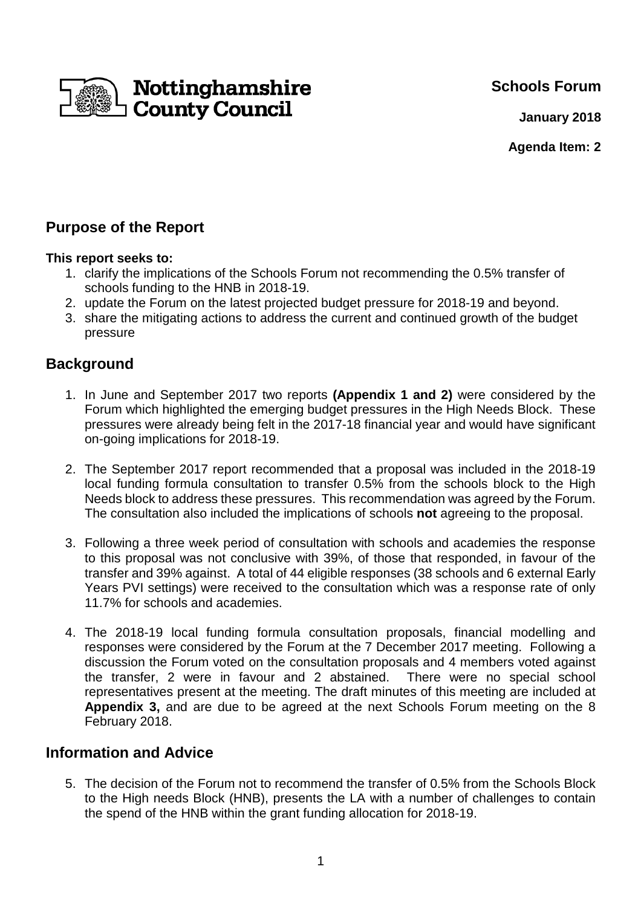**Schools Forum**



**January 2018**

**Agenda Item: 2**

# **Purpose of the Report**

### **This report seeks to:**

- 1. clarify the implications of the Schools Forum not recommending the 0.5% transfer of schools funding to the HNB in 2018-19.
- 2. update the Forum on the latest projected budget pressure for 2018-19 and beyond.
- 3. share the mitigating actions to address the current and continued growth of the budget pressure

# **Background**

- 1. In June and September 2017 two reports **(Appendix 1 and 2)** were considered by the Forum which highlighted the emerging budget pressures in the High Needs Block. These pressures were already being felt in the 2017-18 financial year and would have significant on-going implications for 2018-19.
- 2. The September 2017 report recommended that a proposal was included in the 2018-19 local funding formula consultation to transfer 0.5% from the schools block to the High Needs block to address these pressures. This recommendation was agreed by the Forum. The consultation also included the implications of schools **not** agreeing to the proposal.
- 3. Following a three week period of consultation with schools and academies the response to this proposal was not conclusive with 39%, of those that responded, in favour of the transfer and 39% against. A total of 44 eligible responses (38 schools and 6 external Early Years PVI settings) were received to the consultation which was a response rate of only 11.7% for schools and academies.
- 4. The 2018-19 local funding formula consultation proposals, financial modelling and responses were considered by the Forum at the 7 December 2017 meeting. Following a discussion the Forum voted on the consultation proposals and 4 members voted against the transfer, 2 were in favour and 2 abstained. There were no special school representatives present at the meeting. The draft minutes of this meeting are included at **Appendix 3,** and are due to be agreed at the next Schools Forum meeting on the 8 February 2018.

# **Information and Advice**

5. The decision of the Forum not to recommend the transfer of 0.5% from the Schools Block to the High needs Block (HNB), presents the LA with a number of challenges to contain the spend of the HNB within the grant funding allocation for 2018-19.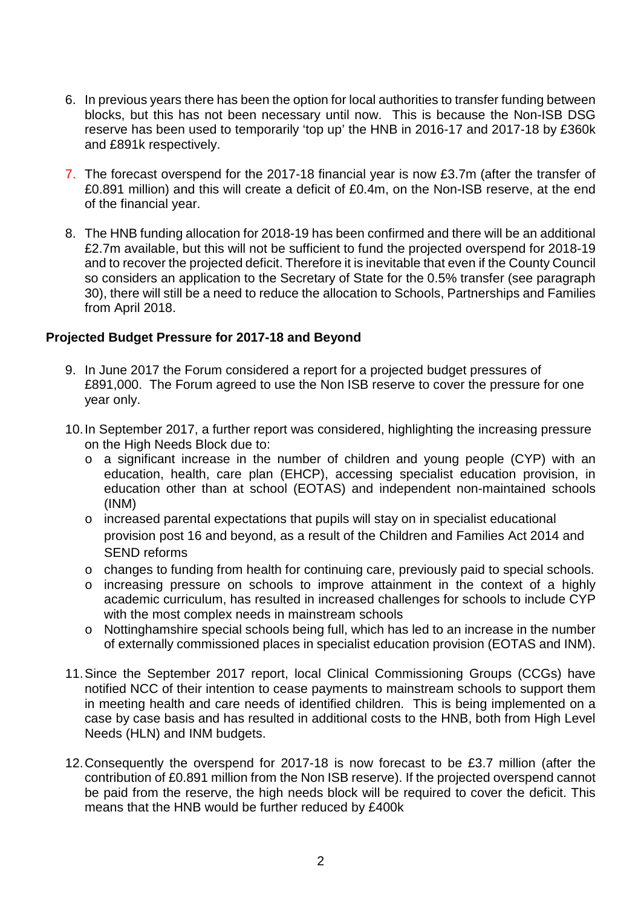- 6. In previous years there has been the option for local authorities to transfer funding between blocks, but this has not been necessary until now. This is because the Non-ISB DSG reserve has been used to temporarily 'top up' the HNB in 2016-17 and 2017-18 by £360k and £891k respectively.
- 7. The forecast overspend for the 2017-18 financial year is now £3.7m (after the transfer of £0.891 million) and this will create a deficit of £0.4m, on the Non-ISB reserve, at the end of the financial year.
- 8. The HNB funding allocation for 2018-19 has been confirmed and there will be an additional £2.7m available, but this will not be sufficient to fund the projected overspend for 2018-19 and to recover the projected deficit. Therefore it is inevitable that even if the County Council so considers an application to the Secretary of State for the 0.5% transfer (see paragraph 30), there will still be a need to reduce the allocation to Schools, Partnerships and Families from April 2018.

### **Projected Budget Pressure for 2017-18 and Beyond**

- 9. In June 2017 the Forum considered a report for a projected budget pressures of £891,000. The Forum agreed to use the Non ISB reserve to cover the pressure for one year only.
- 10. In September 2017, a further report was considered, highlighting the increasing pressure on the High Needs Block due to:
	- o a significant increase in the number of children and young people (CYP) with an education, health, care plan (EHCP), accessing specialist education provision, in education other than at school (EOTAS) and independent non-maintained schools (INM)
	- o increased parental expectations that pupils will stay on in specialist educational provision post 16 and beyond, as a result of the Children and Families Act 2014 and SEND reforms
	- o changes to funding from health for continuing care, previously paid to special schools.
	- o increasing pressure on schools to improve attainment in the context of a highly academic curriculum, has resulted in increased challenges for schools to include CYP with the most complex needs in mainstream schools
	- o Nottinghamshire special schools being full, which has led to an increase in the number of externally commissioned places in specialist education provision (EOTAS and INM).
- 11. Since the September 2017 report, local Clinical Commissioning Groups (CCGs) have notified NCC of their intention to cease payments to mainstream schools to support them in meeting health and care needs of identified children. This is being implemented on a case by case basis and has resulted in additional costs to the HNB, both from High Level Needs (HLN) and INM budgets.
- 12. Consequently the overspend for 2017-18 is now forecast to be £3.7 million (after the contribution of £0.891 million from the Non ISB reserve). If the projected overspend cannot be paid from the reserve, the high needs block will be required to cover the deficit. This means that the HNB would be further reduced by £400k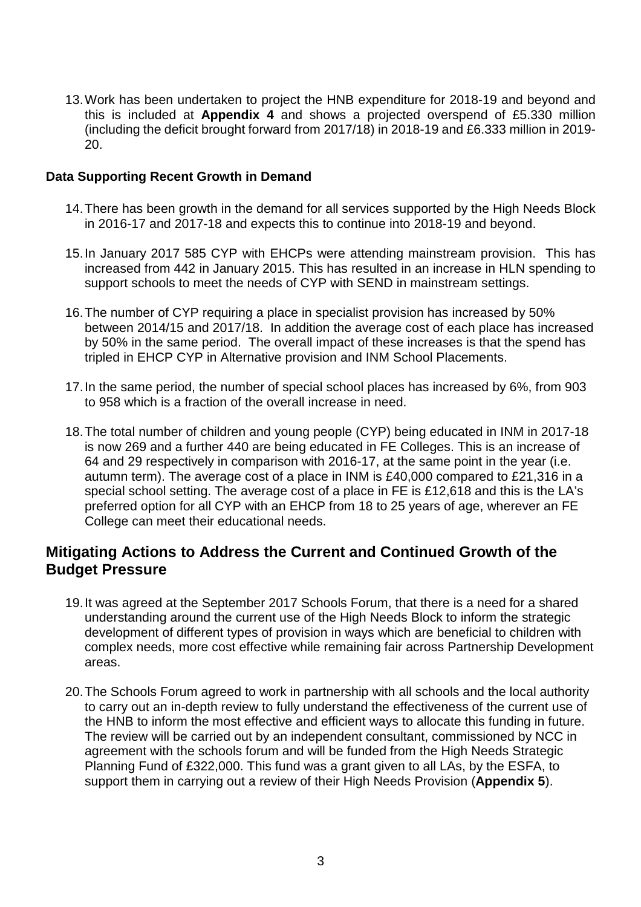13. Work has been undertaken to project the HNB expenditure for 2018-19 and beyond and this is included at **Appendix 4** and shows a projected overspend of £5.330 million (including the deficit brought forward from 2017/18) in 2018-19 and £6.333 million in 2019- 20.

#### **Data Supporting Recent Growth in Demand**

- 14. There has been growth in the demand for all services supported by the High Needs Block in 2016-17 and 2017-18 and expects this to continue into 2018-19 and beyond.
- 15. In January 2017 585 CYP with EHCPs were attending mainstream provision. This has increased from 442 in January 2015. This has resulted in an increase in HLN spending to support schools to meet the needs of CYP with SEND in mainstream settings.
- 16. The number of CYP requiring a place in specialist provision has increased by 50% between 2014/15 and 2017/18. In addition the average cost of each place has increased by 50% in the same period. The overall impact of these increases is that the spend has tripled in EHCP CYP in Alternative provision and INM School Placements.
- 17. In the same period, the number of special school places has increased by 6%, from 903 to 958 which is a fraction of the overall increase in need.
- 18. The total number of children and young people (CYP) being educated in INM in 2017-18 is now 269 and a further 440 are being educated in FE Colleges. This is an increase of 64 and 29 respectively in comparison with 2016-17, at the same point in the year (i.e. autumn term). The average cost of a place in INM is £40,000 compared to £21,316 in a special school setting. The average cost of a place in FE is £12,618 and this is the LA's preferred option for all CYP with an EHCP from 18 to 25 years of age, wherever an FE College can meet their educational needs.

## **Mitigating Actions to Address the Current and Continued Growth of the Budget Pressure**

- 19. It was agreed at the September 2017 Schools Forum, that there is a need for a shared understanding around the current use of the High Needs Block to inform the strategic development of different types of provision in ways which are beneficial to children with complex needs, more cost effective while remaining fair across Partnership Development areas.
- 20. The Schools Forum agreed to work in partnership with all schools and the local authority to carry out an in-depth review to fully understand the effectiveness of the current use of the HNB to inform the most effective and efficient ways to allocate this funding in future. The review will be carried out by an independent consultant, commissioned by NCC in agreement with the schools forum and will be funded from the High Needs Strategic Planning Fund of £322,000. This fund was a grant given to all LAs, by the ESFA, to support them in carrying out a review of their High Needs Provision (**Appendix 5**).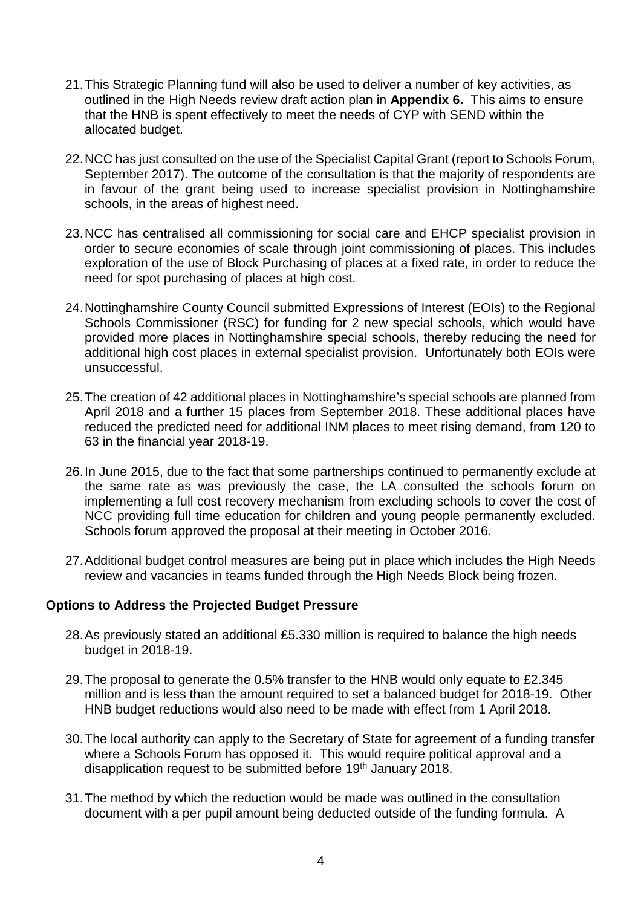- 21. This Strategic Planning fund will also be used to deliver a number of key activities, as outlined in the High Needs review draft action plan in **Appendix 6.** This aims to ensure that the HNB is spent effectively to meet the needs of CYP with SEND within the allocated budget.
- 22. NCC has just consulted on the use of the Specialist Capital Grant (report to Schools Forum, September 2017). The outcome of the consultation is that the majority of respondents are in favour of the grant being used to increase specialist provision in Nottinghamshire schools, in the areas of highest need.
- 23. NCC has centralised all commissioning for social care and EHCP specialist provision in order to secure economies of scale through joint commissioning of places. This includes exploration of the use of Block Purchasing of places at a fixed rate, in order to reduce the need for spot purchasing of places at high cost.
- 24. Nottinghamshire County Council submitted Expressions of Interest (EOIs) to the Regional Schools Commissioner (RSC) for funding for 2 new special schools, which would have provided more places in Nottinghamshire special schools, thereby reducing the need for additional high cost places in external specialist provision. Unfortunately both EOIs were unsuccessful.
- 25. The creation of 42 additional places in Nottinghamshire's special schools are planned from April 2018 and a further 15 places from September 2018. These additional places have reduced the predicted need for additional INM places to meet rising demand, from 120 to 63 in the financial year 2018-19.
- 26. In June 2015, due to the fact that some partnerships continued to permanently exclude at the same rate as was previously the case, the LA consulted the schools forum on implementing a full cost recovery mechanism from excluding schools to cover the cost of NCC providing full time education for children and young people permanently excluded. Schools forum approved the proposal at their meeting in October 2016.
- 27. Additional budget control measures are being put in place which includes the High Needs review and vacancies in teams funded through the High Needs Block being frozen.

### **Options to Address the Projected Budget Pressure**

- 28. As previously stated an additional £5.330 million is required to balance the high needs budget in 2018-19.
- 29. The proposal to generate the 0.5% transfer to the HNB would only equate to £2.345 million and is less than the amount required to set a balanced budget for 2018-19. Other HNB budget reductions would also need to be made with effect from 1 April 2018.
- 30. The local authority can apply to the Secretary of State for agreement of a funding transfer where a Schools Forum has opposed it. This would require political approval and a disapplication request to be submitted before 19<sup>th</sup> January 2018.
- 31. The method by which the reduction would be made was outlined in the consultation document with a per pupil amount being deducted outside of the funding formula. A